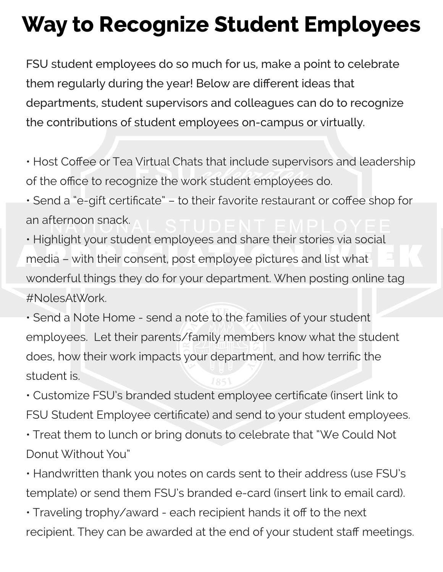## **Way to Recognize Student Employees**

FSU student employees do so much for us, make a point to celebrate them regularly during the year! Below are different ideas that departments, student supervisors and colleagues can do to recognize the contributions of student employees on-campus or virtually.

• Host Coffee or Tea Virtual Chats that include supervisors and leadership of the office to recognize the work student employees do.

• Send a "e-gift certificate" – to their favorite restaurant or coffee shop for an afternoon snack.

• Highlight your student employees and share their stories via social media – with their consent, post employee pictures and list what wonderful things they do for your department. When posting online tag #NolesAtWork.

• Send a Note Home - send a note to the families of your student employees. Let their parents/family members know what the student does, how their work impacts your department, and how terrific the student is.

• Customize FSU's branded student employee certificate (insert link to FSU Student Employee certificate) and send to your student employees.

- Treat them to lunch or bring donuts to celebrate that "We Could Not Donut Without You"
- Handwritten thank you notes on cards sent to their address (use FSU's template) or send them FSU's branded e-card (insert link to email card).
- Traveling trophy/award each recipient hands it off to the next recipient. They can be awarded at the end of your student staff meetings.